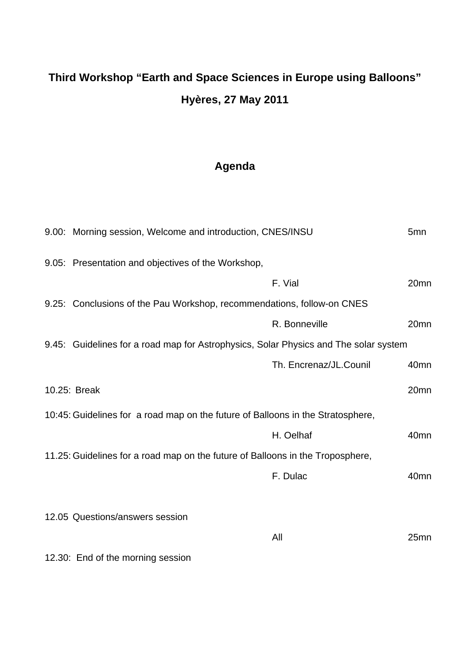## **Third Workshop "Earth and Space Sciences in Europe using Balloons" Hyères, 27 May 2011**

## **Agenda**

|                                                                                 | 9.00: Morning session, Welcome and introduction, CNES/INSU                           |                        | 5 <sub>mn</sub>  |
|---------------------------------------------------------------------------------|--------------------------------------------------------------------------------------|------------------------|------------------|
|                                                                                 | 9.05: Presentation and objectives of the Workshop,                                   |                        |                  |
|                                                                                 |                                                                                      | F. Vial                | 20 <sub>mn</sub> |
|                                                                                 | 9.25: Conclusions of the Pau Workshop, recommendations, follow-on CNES               |                        |                  |
|                                                                                 |                                                                                      | R. Bonneville          | 20mn             |
|                                                                                 | 9.45: Guidelines for a road map for Astrophysics, Solar Physics and The solar system |                        |                  |
|                                                                                 |                                                                                      | Th. Encrenaz/JL.Counil | 40 <sub>mn</sub> |
|                                                                                 | 10.25: Break                                                                         |                        | 20mn             |
| 10:45: Guidelines for a road map on the future of Balloons in the Stratosphere, |                                                                                      |                        |                  |
|                                                                                 |                                                                                      | H. Oelhaf              | 40 <sub>mn</sub> |
| 11.25: Guidelines for a road map on the future of Balloons in the Troposphere,  |                                                                                      |                        |                  |
|                                                                                 |                                                                                      | F. Dulac               | 40 <sub>mn</sub> |
|                                                                                 | 12.05 Questions/answers session                                                      |                        |                  |
|                                                                                 |                                                                                      | All                    | 25 <sub>mn</sub> |
|                                                                                 | 12.30: End of the morning session                                                    |                        |                  |